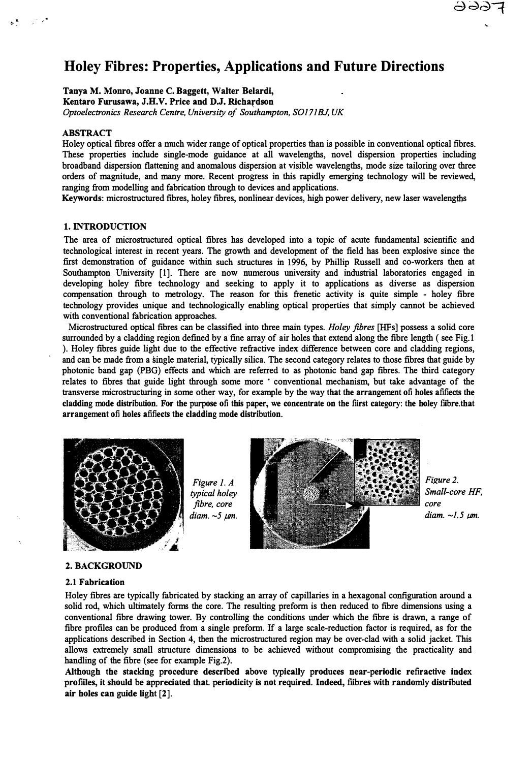# **Holey Fibres: Properties, Applications and Future Directions**

**Tanya M. Monro, Joanne C. Baggett, Walter Belardi, Kentaro Furusawa, J.H.V. Price and D.J. Richardson**  *Optoelectronics Research Centre, University of Southampton, S0171BJ, UK* 

## **ABSTRACT**

**Holey optical fibres offer a much wider range of optical properties than is possible in conventional optical fibres. These properties include single-mode guidance at all wavelengths, novel dispersion properties including broadband dispersion flattening and anomalous dispersion at visible wavelengths, mode size tailoring over three orders of magnitude, and many more. Recent progress in this rapidly emerging technology will be reviewed, ranging from modelling and fabrication through to devices and applications.** 

**Keywords: microstructured fibres, holey fibres, nonlinear devices, high power delivery, new laser wavelengths** 

## **1. INTRODUCTION**

**The area of microstructured optical fibres has developed into a topic of acute fundamental scientific and technological interest in recent years. The growth and development of the field has been explosive since the first demonstration of guidance within such structures in 1996, by Phillip Russell and co-workers then at Southampton University [1]. There are now numerous university and industrial laboratories engaged in developing holey fibre technology and seeking to apply it to applications as diverse as dispersion compensation through to metrology. The reason for this frenetic activity is quite simple - holey fibre technology provides unique and technologically enabling optical properties that simply cannot be achieved with conventional fabrication approaches.** 

**Microstructured optical fibres can be classified into three main types.** *Holey fibres* **[HFs] possess a solid core surrounded by a cladding region defined by a fine array of air holes that extend along the fibre length ( see Fig.1 ). Holey fibres guide light due to the effective refractive index difference between core and cladding regions, and can be made from a single material, typically silica. The second category relates to those fibres that guide by photonic band gap (PBG) effects and which are referred to as photonic band gap fibres. The third category relates to fibres that guide light through some more • conventional mechanism, but take advantage of the transverse microstructuring in some other way, for example by the way that the arrangement of holes affects the cladding mode distribution. For the purpose of this paper, we concentrate on the first category: the holey fibre.that arrangement of holes affects the cladding mode distribution.** 



*Figure 1. A typical holey fibre, core diam. -5 µm.* 



*Fi�re 2. Small-core HF, core diam. -1.5 µm.*

#### **2. BACKGROUND**

#### **2.1 Fabrication**

**Holey fibres are typically fabricated by stacking an array of capillaries in a hexagonal configuration around a solid rod, which ultimately forms the core. The resulting preform is then reduced to fibre dimensions using a conventional fibre drawing tower. By controlling the conditions under which the fibre is drawn, a range of fibre profiles can be produced from a single preform. If a large scalereduction factor is required, as for the applications described in Section 4, then the microstructured region may be over-clad with a solid jacket. This allows extremely small structure dimensions to be achieved without compromising the practicality and handling of the fibre (see for example Fig.2).** 

**Although the stacking procedure described above typically produces near-periodic refractive index profiles, it should be appreciated that. periodicity is not required. Indeed, fibres with randomly distributed air holes can guide light [2].**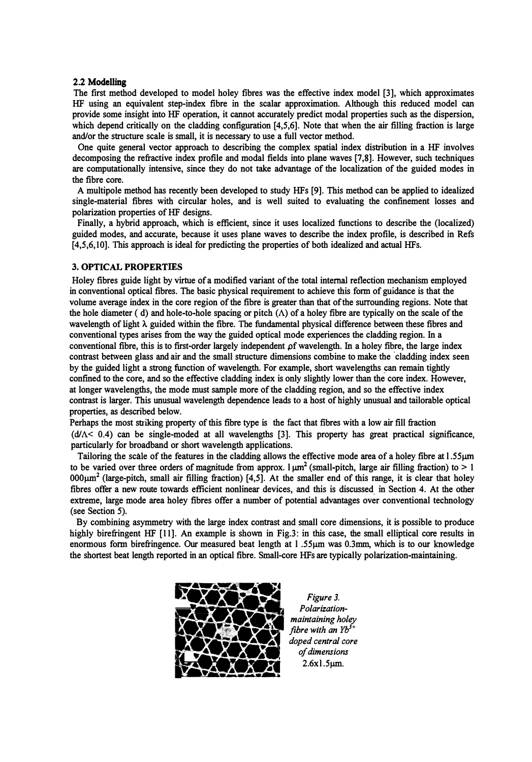## 2.2 Modelling

The first method developed to model holey fibres was the effective index model [3], which approximates HF using an equivalent step-index fibre in the scalar approximation. Although this reduced model can provide some insight into HF operation, it cannot accurately predict modal properties such as the dispersion, which depend critically on the cladding configuration [4,5,6]. Note that when the air filling fraction is large and/or the structure scale is small, it is necessary to use a full vector method.

One quite general vector approach to describing the complex spatial index distribution in a HF involves decomposing the refractive index profile and modal fields into plane waves [7,8]. However, such techniques are computationally intensive, since they do not take advantage of the localization of the guided modes in the fibre core.

A multipole method has recently been developed to study HFs [9]. This method can be applied to idealized single-material fibres with circular holes, and is well suited to evaluating the confinement losses and polarization properties of HF designs.

Finally, a hybrid approach, which is efficient, since it uses localized functions to describe the (localized) guided modes, and accurate, because it uses plane waves to describe the index profile, is described in Refs [4,5,6,10]. This approach is ideal for predicting the properties of both idealized and actual HFs.

# **3. OPTICAL PROPERTIES**

Holey fibres guide light by virtue of a modified variant of the total internal reflection mechanism employed in conventional optical fibres. The basic physical requirement to achieve this form of guidance is that the volume average index in the core region of the fibre is greater than that of the surrounding regions. Note that the hole diameter (d) and hole-to-hole spacing or pitch  $(\Lambda)$  of a holey fibre are typically on the scale of the wavelength of light  $\lambda$  guided within the fibre. The fundamental physical difference between these fibres and conventional types arises from the way the guided optical mode experiences the cladding region. In a conventional fibre, this is to first-order largely independent of wavelength. In a holey fibre, the large index contrast between glass and air and the small structure dimensions combine to make the 'cladding index seen by the guided light a strong function of wavelength. For example, short wavelengths can remain tightly confined to the core, and so the effective cladding index is only slightly lower than the core index. However, at longer wavelengths, the mode must sample more of the cladding region, and so the effective index contrast is larger. This unusual wavelength dependence leads to a host of highly unusual and tailorable optical properties, as described below.

Perhaps the most striking property of this fibre type is the fact that fibres with a low air fill fraction  $(d/\Delta < 0.4)$  can be single-moded at all wavelengths [3]. This property has great practical significance, particularly for broadband or short wavelength applications.

Tailoring the scale of the features in the cladding allows the effective mode area of a holey fibre at l .55µm to be varied over three orders of magnitude from approx.  $\mu$ m<sup>2</sup> (small-pitch, large air filling fraction) to > 1 OOOµm**<sup>2</sup>**(large-pitch, small air filling fraction) [4,5]. At the smaller end of this range, it is clear that holey fibres offer a new route towards efficient nonlinear devices, and this is discussed in Section 4. At the other extreme, large mode area holey fibres offer a number of potential advantages over conventional technology (see Section 5).

By combining asymmetry with the large index contrast and small core dimensions, it is possible to produce highly birefringent HF [11]. An example is shown in Fig.3: in this case, the small elliptical core results in enormous form birefringence. Our measured beat length at l .55µm was 0.3mm, which is to our knowledge the shortest beat length reported in an optical fibre. Small-core HFs are typically polarization-maintaining.



*Figure 3. Polarizationmaintaining holey fibre with an Yb<sup>3</sup><sup>+</sup> doped central core of dimensions* 2.6xl.5µm.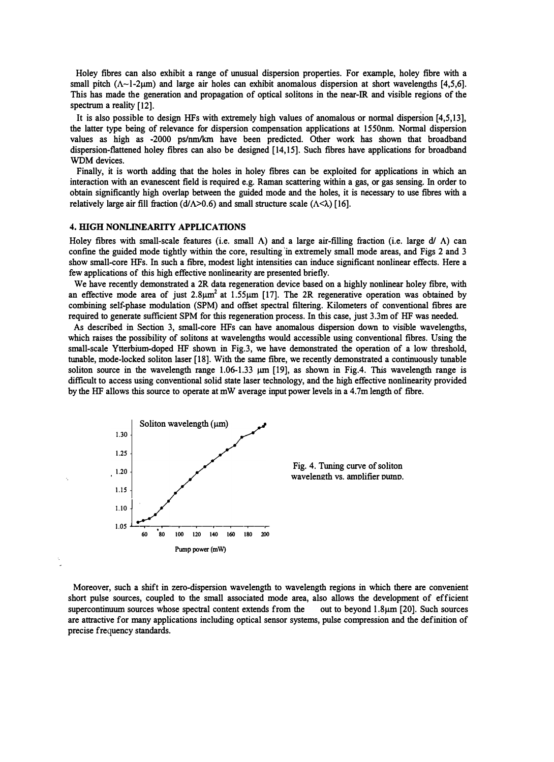Holey fibres can also exhibit a range of unusual dispersion properties. For example, holey fibre with a small pitch  $(\Lambda \sim 1.2 \,\mu m)$  and large air holes can exhibit anomalous dispersion at short wavelengths [4,5,6]. This has made the generation and propagation of optical solitons in the near-IR and visible regions of the spectrum a reality [12].

It is also possible to design HFs with extremely high values of anomalous or normal dispersion [4,5,13], the latter type being of relevance for dispersion compensation applications at 1550nm. Normal dispersion values as high as -2000 ps/nm/km have been predicted. Other work has shown that broadband dispersion-flattened holey fibres can also be designed [14,15]. Such fibres have applications for broadband WDM devices.

Finally, it is worth adding that the holes in holey fibres can be exploited for applications in which an interaction with an evanescent field is required e.g. Raman scattering within a gas, or gas sensing. In order to obtain significantly high overlap between the guided inode and the holes, it is necessary to use fibres with a relatively large air fill fraction ( $d/\Lambda$ >0.6) and small structure scale ( $\Lambda$ < $\lambda$ ) [16].

#### **4. HIGH NONLINEARITY APPLICATIONS**

Holey fibres with small-scale features (i.e. small  $\Lambda$ ) and a large air-filling fraction (i.e. large d/  $\Lambda$ ) can confine the guided mode tightly within the core, resulting in extremely small mode areas, and Figs 2 and 3 show small-core HFs. In such a fibre, modest light intensities can induce significant nonlinear effects. Here a few applications of this high effective nonlinearity are presented briefly.

We have recently demonstrated a 2R data regeneration device based on a highly nonlinear holey fibre, with an effective mode area of just  $2.8\mu m^2$  at  $1.55\mu m$  [17]. The 2R regenerative operation was obtained by combining self-phase modulation (SPM) and offset spectral filtering. Kilometers of conventional fibres are required to generate sufficient SPM for this regeneration process. In this case, just 3.3m of HF was needed.

As described in Section 3, small-core HFs can have anomalous dispersion down to visible wavelengths, which raises the possibility of solitons at wavelengths would accessible using conventional fibres. Using the small-scale Ytterbium-doped HF shown in Fig.3, we have demonstrated the operation of a low threshold, tunable, mode-locked soliton laser [18]. With the same fibre, we recently demonstrated a continuously tunable soliton source in the wavelength range  $1.06-1.33 \mu m$  [19], as shown in Fig.4. This wavelength range is difficult to access using conventional solid state laser technology, and the high effective nonlinearity provided by the HF allows this source to operate at mW average input power levels in a 4.7m length of fibre.



Moreover, such a shift in zero-dispersion wavelength to wavelength regions in which there are convenient short pulse sources, coupled to the small associated mode area, also allows the development of efficient supercontinuum sources whose spectral content extends from the out to beyond 1.8 $\mu$ m [20]. Such sources are attractive for many applications including optical sensor systems, pulse compression and the definition of precise frequency standards.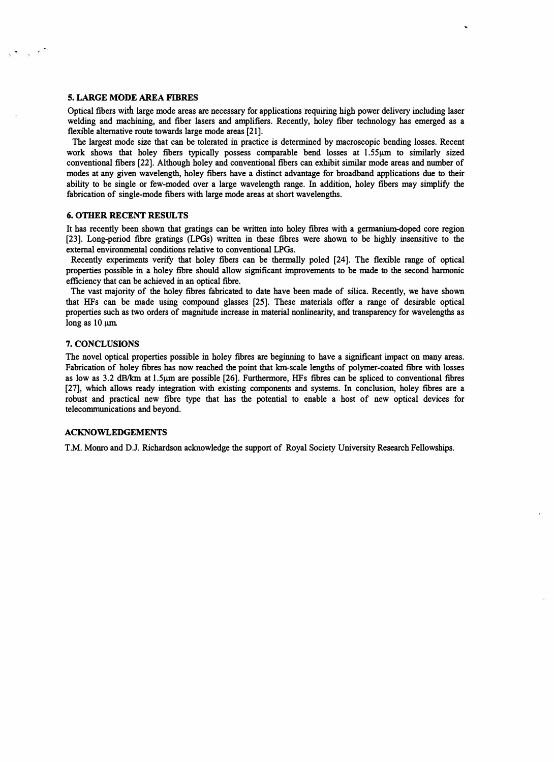# **5. LARGE MODE AREA FIBRES**

 $\kappa$ 

Optical fibers with large mode areas are necessary for applications requiring high power delivery including laser welding and machining, and fiber lasers and amplifiers. Recently, holey fiber technology has emerged as a flexible alternative route towards large mode areas [21].

The largest mode size that can be tolerated in practice is determined by macroscopic bending losses. Recent work shows that holey fibers typically possess comparable bend losses at 1.55µm to similarly sized conventional fibers [22]. Although holey and conventional fibers can exhibit similar mode areas and number of modes at any given wavelength, holey fibers have a distinct advantage for broadband applications due to their ability to be single or few-moded over a large wavelength range. In addition, holey fibers may simplify the fabrication of single-mode fibers with large mode areas at short wavelengths.

# **6. OTHER RECENT RESULTS**

It has recently been shown that gratings can be written into holey fibres with a germanium-doped core region [23]. Long-period fibre gratings (LPGs) written in these fibres were shown to be highly insensitive to the external environmental conditions relative to conventional LPGs.

Recently experiments verify that holey fibers can be thermally poled [24]. The flexible range of optical properties possible in a holey fibre should allow significant improvements to be made to the second harmonic efficiency that can be achieved in an optical fibre.

The vast majority of the holey fibres fabricated to date have been made of silica. Recently, we have shown that HFs can be made using compound glasses [25]. These materials offer a range of desirable optical properties such as two orders of magnitude increase in material nonlinearity, and transparency for wavelengths as long as  $10 \mu m$ .

## 7. **CONCLUSIONS**

The novel optical properties possible in holey fibres are beginning to have a significant impact on many areas. Fabrication of holey fibres has now reached the point that km-scale lengths of polymer-coated fibre with losses as low as 3.2 dB/km at l.Sµm are possible [26]. Furthermore, HFs fibres can be spliced to conventional fibres [27], which allows ready integration with existing components and systems. In conclusion, holey fibres are a robust and practical new fibre type that has the potential to enable a host of new optical devices for telecommunications and beyond.

# **ACKNOWLEDGEMENTS**

**T.M. Momo and D.J. Richardson acknowledge the support of Royal Society University Research Fellowships.**